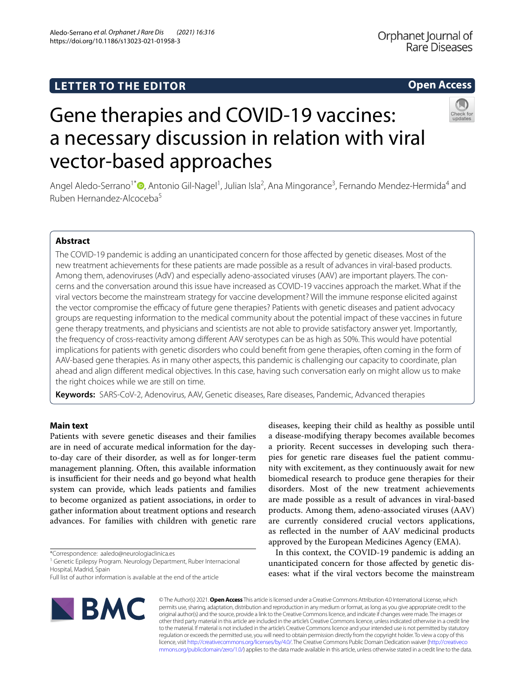https://doi.org/10.1186/s13023-021-01958-3

Aledo‑Serrano *et al. Orphanet J Rare Dis (2021) 16:316* 

# **Open Access**

# Gene therapies and COVID-19 vaccines: a necessary discussion in relation with viral vector‑based approaches

Angel Aledo-Serrano<sup>1\*</sup><sup>®</sup>[,](http://orcid.org/0000-0003-4889-3365) Antonio Gil-Nagel<sup>1</sup>, Julian Isla<sup>2</sup>, Ana Mingorance<sup>3</sup>, Fernando Mendez-Hermida<sup>4</sup> and Ruben Hernandez‑Alcoceba5

## **Abstract**

The COVID-19 pandemic is adding an unanticipated concern for those afected by genetic diseases. Most of the new treatment achievements for these patients are made possible as a result of advances in viral-based products. Among them, adenoviruses (AdV) and especially adeno-associated viruses (AAV) are important players. The concerns and the conversation around this issue have increased as COVID-19 vaccines approach the market. What if the viral vectors become the mainstream strategy for vaccine development? Will the immune response elicited against the vector compromise the efficacy of future gene therapies? Patients with genetic diseases and patient advocacy groups are requesting information to the medical community about the potential impact of these vaccines in future gene therapy treatments, and physicians and scientists are not able to provide satisfactory answer yet. Importantly, the frequency of cross-reactivity among diferent AAV serotypes can be as high as 50%. This would have potential implications for patients with genetic disorders who could beneft from gene therapies, often coming in the form of AAV-based gene therapies. As in many other aspects, this pandemic is challenging our capacity to coordinate, plan ahead and align diferent medical objectives. In this case, having such conversation early on might allow us to make the right choices while we are still on time.

**Keywords:** SARS-CoV-2, Adenovirus, AAV, Genetic diseases, Rare diseases, Pandemic, Advanced therapies

### **Main text**

Patients with severe genetic diseases and their families are in need of accurate medical information for the dayto-day care of their disorder, as well as for longer-term management planning. Often, this available information is insufficient for their needs and go beyond what health system can provide, which leads patients and families to become organized as patient associations, in order to gather information about treatment options and research advances. For families with children with genetic rare

\*Correspondence: aaledo@neurologiaclinica.es

<sup>1</sup> Genetic Epilepsy Program. Neurology Department, Ruber Internacional Hospital, Madrid, Spain

biomedical research to produce gene therapies for their disorders. Most of the new treatment achievements are made possible as a result of advances in viral-based products. Among them, adeno-associated viruses (AAV) are currently considered crucial vectors applications, as refected in the number of AAV medicinal products approved by the European Medicines Agency (EMA). In this context, the COVID-19 pandemic is adding an unanticipated concern for those afected by genetic diseases: what if the viral vectors become the mainstream

diseases, keeping their child as healthy as possible until a disease-modifying therapy becomes available becomes a priority. Recent successes in developing such therapies for genetic rare diseases fuel the patient community with excitement, as they continuously await for new



© The Author(s) 2021. **Open Access** This article is licensed under a Creative Commons Attribution 4.0 International License, which permits use, sharing, adaptation, distribution and reproduction in any medium or format, as long as you give appropriate credit to the original author(s) and the source, provide a link to the Creative Commons licence, and indicate if changes were made. The images or other third party material in this article are included in the article's Creative Commons licence, unless indicated otherwise in a credit line to the material. If material is not included in the article's Creative Commons licence and your intended use is not permitted by statutory regulation or exceeds the permitted use, you will need to obtain permission directly from the copyright holder. To view a copy of this licence, visit [http://creativecommons.org/licenses/by/4.0/.](http://creativecommons.org/licenses/by/4.0/) The Creative Commons Public Domain Dedication waiver ([http://creativeco](http://creativecommons.org/publicdomain/zero/1.0/) [mmons.org/publicdomain/zero/1.0/](http://creativecommons.org/publicdomain/zero/1.0/)) applies to the data made available in this article, unless otherwise stated in a credit line to the data.

Full list of author information is available at the end of the article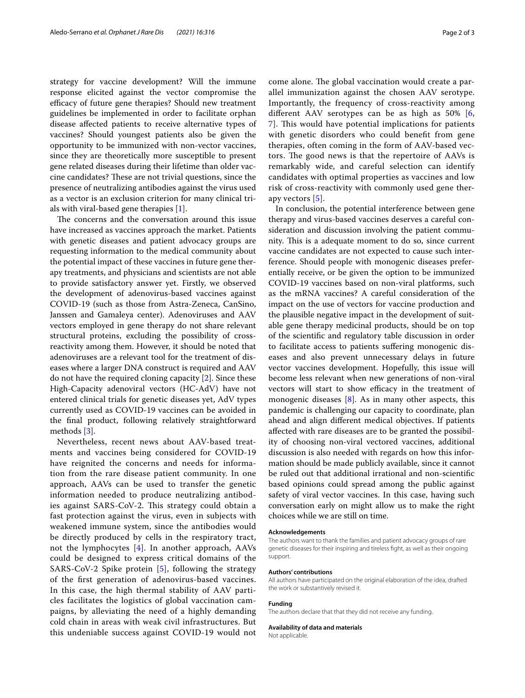strategy for vaccine development? Will the immune response elicited against the vector compromise the efficacy of future gene therapies? Should new treatment guidelines be implemented in order to facilitate orphan disease afected patients to receive alternative types of vaccines? Should youngest patients also be given the opportunity to be immunized with non-vector vaccines, since they are theoretically more susceptible to present gene related diseases during their lifetime than older vaccine candidates? These are not trivial questions, since the presence of neutralizing antibodies against the virus used as a vector is an exclusion criterion for many clinical trials with viral-based gene therapies [\[1](#page-2-0)].

The concerns and the conversation around this issue have increased as vaccines approach the market. Patients with genetic diseases and patient advocacy groups are requesting information to the medical community about the potential impact of these vaccines in future gene therapy treatments, and physicians and scientists are not able to provide satisfactory answer yet. Firstly, we observed the development of adenovirus-based vaccines against COVID-19 (such as those from Astra-Zeneca, CanSino, Janssen and Gamaleya center). Adenoviruses and AAV vectors employed in gene therapy do not share relevant structural proteins, excluding the possibility of crossreactivity among them. However, it should be noted that adenoviruses are a relevant tool for the treatment of diseases where a larger DNA construct is required and AAV do not have the required cloning capacity [[2\]](#page-2-1). Since these High-Capacity adenoviral vectors (HC-AdV) have not entered clinical trials for genetic diseases yet, AdV types currently used as COVID-19 vaccines can be avoided in the fnal product, following relatively straightforward methods [[3\]](#page-2-2).

Nevertheless, recent news about AAV-based treatments and vaccines being considered for COVID-19 have reignited the concerns and needs for information from the rare disease patient community. In one approach, AAVs can be used to transfer the genetic information needed to produce neutralizing antibodies against SARS-CoV-2. This strategy could obtain a fast protection against the virus, even in subjects with weakened immune system, since the antibodies would be directly produced by cells in the respiratory tract, not the lymphocytes [[4\]](#page-2-3). In another approach, AAVs could be designed to express critical domains of the SARS-CoV-2 Spike protein [[5](#page-2-4)], following the strategy of the frst generation of adenovirus-based vaccines. In this case, the high thermal stability of AAV particles facilitates the logistics of global vaccination campaigns, by alleviating the need of a highly demanding cold chain in areas with weak civil infrastructures. But this undeniable success against COVID-19 would not come alone. The global vaccination would create a parallel immunization against the chosen AAV serotype. Importantly, the frequency of cross-reactivity among diferent AAV serotypes can be as high as 50% [\[6](#page-2-5), [7\]](#page-2-6). This would have potential implications for patients with genetic disorders who could beneft from gene therapies, often coming in the form of AAV-based vectors. The good news is that the repertoire of AAVs is remarkably wide, and careful selection can identify candidates with optimal properties as vaccines and low risk of cross-reactivity with commonly used gene therapy vectors [[5](#page-2-4)].

In conclusion, the potential interference between gene therapy and virus-based vaccines deserves a careful consideration and discussion involving the patient community. This is a adequate moment to do so, since current vaccine candidates are not expected to cause such interference. Should people with monogenic diseases preferentially receive, or be given the option to be immunized COVID-19 vaccines based on non-viral platforms, such as the mRNA vaccines? A careful consideration of the impact on the use of vectors for vaccine production and the plausible negative impact in the development of suitable gene therapy medicinal products, should be on top of the scientifc and regulatory table discussion in order to facilitate access to patients sufering monogenic diseases and also prevent unnecessary delays in future vector vaccines development. Hopefully, this issue will become less relevant when new generations of non-viral vectors will start to show efficacy in the treatment of monogenic diseases  $[8]$  $[8]$ . As in many other aspects, this pandemic is challenging our capacity to coordinate, plan ahead and align diferent medical objectives. If patients afected with rare diseases are to be granted the possibility of choosing non-viral vectored vaccines, additional discussion is also needed with regards on how this information should be made publicly available, since it cannot be ruled out that additional irrational and non-scientifc based opinions could spread among the public against safety of viral vector vaccines. In this case, having such conversation early on might allow us to make the right choices while we are still on time.

#### **Acknowledgements**

The authors want to thank the families and patient advocacy groups of rare genetic diseases for their inspiring and tireless fght, as well as their ongoing support.

#### **Authors' contributions**

All authors have participated on the original elaboration of the idea, drafted the work or substantively revised it.

#### **Funding**

The authors declare that that they did not receive any funding.

**Availability of data and materials**

Not applicable.